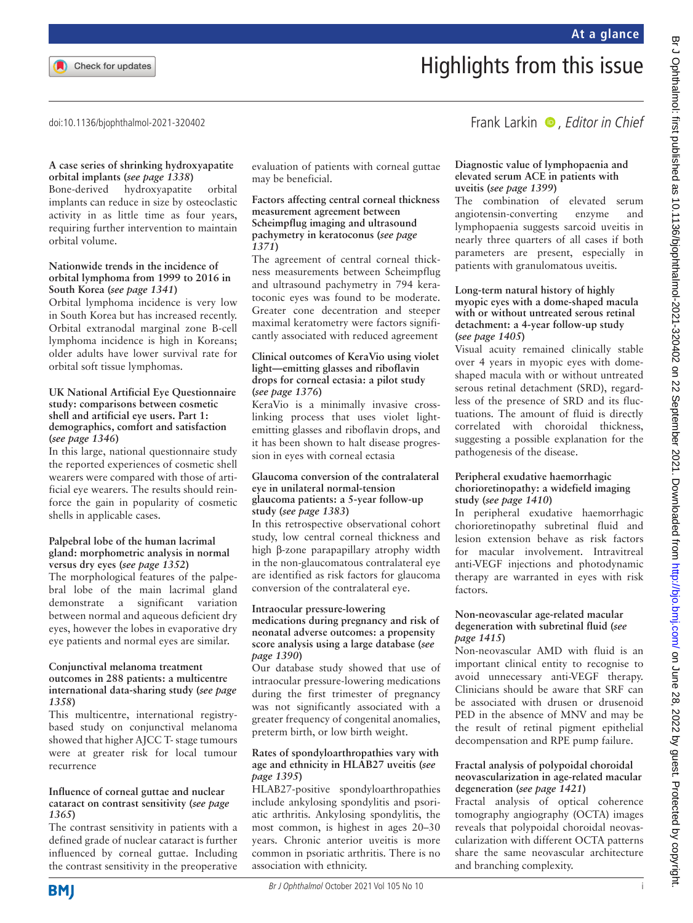doi:10.1136/bjophthalmol-2021-320402

# Highlights from this issue

Frank Larkin  $\bullet$ , Editor in Chief

#### **A case series of shrinking hydroxyapatite orbital implants (***see page 1338***)**

Bone-derived hydroxyapatite orbital implants can reduce in size by osteoclastic activity in as little time as four years, requiring further intervention to maintain orbital volume.

#### **Nationwide trends in the incidence of orbital lymphoma from 1999 to 2016 in South Korea (***see page 1341***)**

Orbital lymphoma incidence is very low in South Korea but has increased recently. Orbital extranodal marginal zone B-cell lymphoma incidence is high in Koreans; older adults have lower survival rate for orbital soft tissue lymphomas.

#### **UK National Artificial Eye Questionnaire study: comparisons between cosmetic shell and artificial eye users. Part 1: demographics, comfort and satisfaction (***see page 1346***)**

In this large, national questionnaire study the reported experiences of cosmetic shell wearers were compared with those of artificial eye wearers. The results should reinforce the gain in popularity of cosmetic shells in applicable cases.

### **Palpebral lobe of the human lacrimal gland: morphometric analysis in normal versus dry eyes (***see page 1352***)**

The morphological features of the palpebral lobe of the main lacrimal gland demonstrate a significant variation between normal and aqueous deficient dry eyes, however the lobes in evaporative dry eye patients and normal eyes are similar.

#### **Conjunctival melanoma treatment outcomes in 288 patients: a multicentre international data-sharing study (***see page 1358***)**

This multicentre, international registrybased study on conjunctival melanoma showed that higher AJCC T- stage tumours were at greater risk for local tumour recurrence

# **Influence of corneal guttae and nuclear cataract on contrast sensitivity (***see page 1365***)**

The contrast sensitivity in patients with a defined grade of nuclear cataract is further influenced by corneal guttae. Including the contrast sensitivity in the preoperative evaluation of patients with corneal guttae may be beneficial.

#### **Factors affecting central corneal thickness measurement agreement between Scheimpflug imaging and ultrasound pachymetry in keratoconus (***see page 1371***)**

The agreement of central corneal thickness measurements between Scheimpflug and ultrasound pachymetry in 794 keratoconic eyes was found to be moderate. Greater cone decentration and steeper maximal keratometry were factors significantly associated with reduced agreement

#### **Clinical outcomes of KeraVio using violet light—emitting glasses and riboflavin drops for corneal ectasia: a pilot study (***see page 1376***)**

KeraVio is a minimally invasive crosslinking process that uses violet lightemitting glasses and riboflavin drops, and it has been shown to halt disease progression in eyes with corneal ectasia

#### **Glaucoma conversion of the contralateral eye in unilateral normal-tension glaucoma patients: a 5-year follow-up study (***see page 1383***)**

In this retrospective observational cohort study, low central corneal thickness and high β-zone parapapillary atrophy width in the non-glaucomatous contralateral eye are identified as risk factors for glaucoma conversion of the contralateral eye.

# **Intraocular pressure-lowering**

#### **medications during pregnancy and risk of neonatal adverse outcomes: a propensity score analysis using a large database (***see page 1390***)**

Our database study showed that use of intraocular pressure-lowering medications during the first trimester of pregnancy was not significantly associated with a greater frequency of congenital anomalies, preterm birth, or low birth weight.

#### **Rates of spondyloarthropathies vary with age and ethnicity in HLAB27 uveitis (***see page 1395***)**

HLAB27-positive spondyloarthropathies include ankylosing spondylitis and psoriatic arthritis. Ankylosing spondylitis, the most common, is highest in ages 20–30 years. Chronic anterior uveitis is more common in psoriatic arthritis. There is no association with ethnicity.

# **Diagnostic value of lymphopaenia and elevated serum ACE in patients with uveitis (***see page 1399***)**

The combination of elevated serum angiotensin-converting enzyme and lymphopaenia suggests sarcoid uveitis in nearly three quarters of all cases if both parameters are present, especially in patients with granulomatous uveitis.

#### **Long-term natural history of highly myopic eyes with a dome-shaped macula with or without untreated serous retinal detachment: a 4-year follow-up study (***see page 1405***)**

Visual acuity remained clinically stable over 4 years in myopic eyes with domeshaped macula with or without untreated serous retinal detachment (SRD), regardless of the presence of SRD and its fluctuations. The amount of fluid is directly correlated with choroidal thickness, suggesting a possible explanation for the pathogenesis of the disease.

# **Peripheral exudative haemorrhagic chorioretinopathy: a widefield imaging study (***see page 1410***)**

In peripheral exudative haemorrhagic chorioretinopathy subretinal fluid and lesion extension behave as risk factors for macular involvement. Intravitreal anti-VEGF injections and photodynamic therapy are warranted in eyes with risk factors.

# **Non-neovascular age-related macular degeneration with subretinal fluid (***see page 1415***)**

Non-neovascular AMD with fluid is an important clinical entity to recognise to avoid unnecessary anti-VEGF therapy. Clinicians should be aware that SRF can be associated with drusen or drusenoid PED in the absence of MNV and may be the result of retinal pigment epithelial decompensation and RPE pump failure.

# **Fractal analysis of polypoidal choroidal neovascularization in age-related macular degeneration (***see page 1421***)**

Fractal analysis of optical coherence tomography angiography (OCTA) images reveals that polypoidal choroidal neovascularization with different OCTA patterns share the same neovascular architecture and branching complexity.